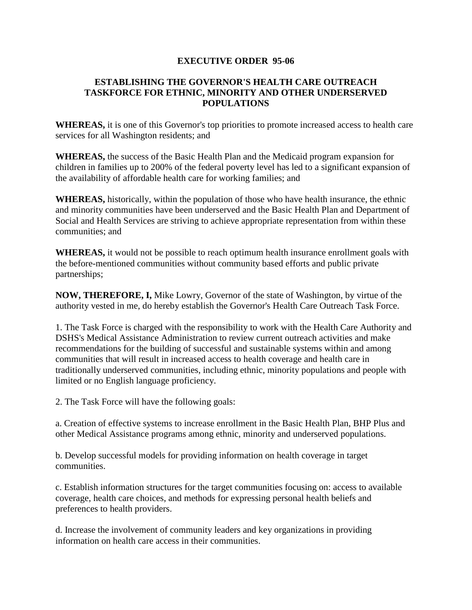## **EXECUTIVE ORDER 95-06**

## **ESTABLISHING THE GOVERNOR'S HEALTH CARE OUTREACH TASKFORCE FOR ETHNIC, MINORITY AND OTHER UNDERSERVED POPULATIONS**

**WHEREAS,** it is one of this Governor's top priorities to promote increased access to health care services for all Washington residents; and

**WHEREAS,** the success of the Basic Health Plan and the Medicaid program expansion for children in families up to 200% of the federal poverty level has led to a significant expansion of the availability of affordable health care for working families; and

**WHEREAS,** historically, within the population of those who have health insurance, the ethnic and minority communities have been underserved and the Basic Health Plan and Department of Social and Health Services are striving to achieve appropriate representation from within these communities; and

**WHEREAS,** it would not be possible to reach optimum health insurance enrollment goals with the before-mentioned communities without community based efforts and public private partnerships;

**NOW, THEREFORE, I,** Mike Lowry, Governor of the state of Washington, by virtue of the authority vested in me, do hereby establish the Governor's Health Care Outreach Task Force.

1. The Task Force is charged with the responsibility to work with the Health Care Authority and DSHS's Medical Assistance Administration to review current outreach activities and make recommendations for the building of successful and sustainable systems within and among communities that will result in increased access to health coverage and health care in traditionally underserved communities, including ethnic, minority populations and people with limited or no English language proficiency.

2. The Task Force will have the following goals:

a. Creation of effective systems to increase enrollment in the Basic Health Plan, BHP Plus and other Medical Assistance programs among ethnic, minority and underserved populations.

b. Develop successful models for providing information on health coverage in target communities.

c. Establish information structures for the target communities focusing on: access to available coverage, health care choices, and methods for expressing personal health beliefs and preferences to health providers.

d. Increase the involvement of community leaders and key organizations in providing information on health care access in their communities.